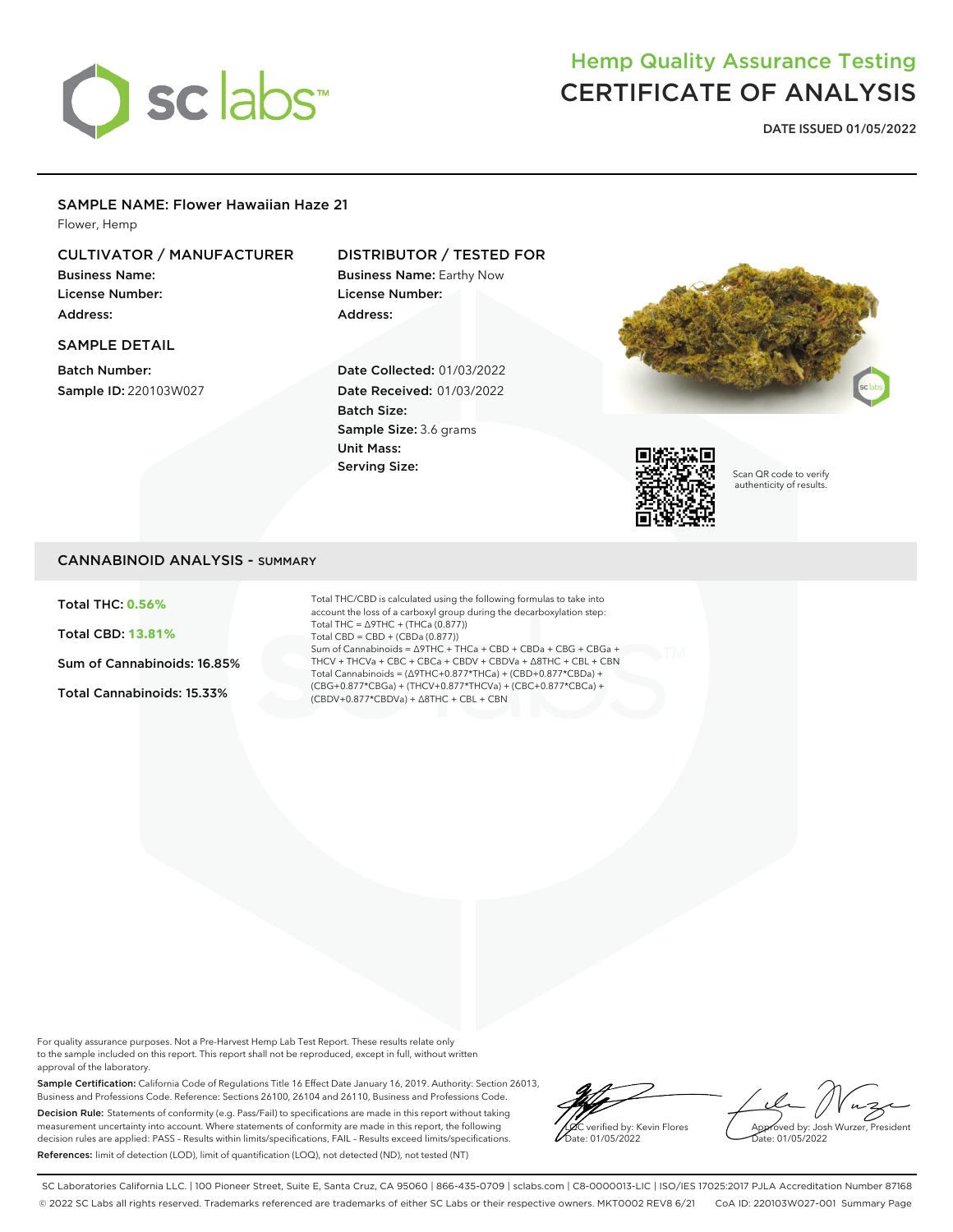

# Hemp Quality Assurance Testing CERTIFICATE OF ANALYSIS

**DATE ISSUED 01/05/2022**

## SAMPLE NAME: Flower Hawaiian Haze 21

Flower, Hemp

# CULTIVATOR / MANUFACTURER

Business Name: License Number: Address:

# DISTRIBUTOR / TESTED FOR Business Name: Earthy Now

License Number: Address:

# SAMPLE DETAIL

Batch Number: Sample ID: 220103W027

# Date Collected: 01/03/2022 Date Received: 01/03/2022 Batch Size: Sample Size: 3.6 grams Unit Mass: Serving Size:





Scan QR code to verify authenticity of results.

# CANNABINOID ANALYSIS - SUMMARY

Total THC: **0.56%**

Total CBD: **13.81%**

Sum of Cannabinoids: 16.85%

Total Cannabinoids: 15.33%

Total THC/CBD is calculated using the following formulas to take into account the loss of a carboxyl group during the decarboxylation step: Total THC = ∆9THC + (THCa (0.877)) Total CBD = CBD + (CBDa (0.877)) Sum of Cannabinoids = ∆9THC + THCa + CBD + CBDa + CBG + CBGa + THCV + THCVa + CBC + CBCa + CBDV + CBDVa + ∆8THC + CBL + CBN Total Cannabinoids = (∆9THC+0.877\*THCa) + (CBD+0.877\*CBDa) + (CBG+0.877\*CBGa) + (THCV+0.877\*THCVa) + (CBC+0.877\*CBCa) + (CBDV+0.877\*CBDVa) + ∆8THC + CBL + CBN

For quality assurance purposes. Not a Pre-Harvest Hemp Lab Test Report. These results relate only to the sample included on this report. This report shall not be reproduced, except in full, without written approval of the laboratory.

Sample Certification: California Code of Regulations Title 16 Effect Date January 16, 2019. Authority: Section 26013, Business and Professions Code. Reference: Sections 26100, 26104 and 26110, Business and Professions Code. Decision Rule: Statements of conformity (e.g. Pass/Fail) to specifications are made in this report without taking measurement uncertainty into account. Where statements of conformity are made in this report, the following decision rules are applied: PASS – Results within limits/specifications, FAIL – Results exceed limits/specifications. References: limit of detection (LOD), limit of quantification (LOQ), not detected (ND), not tested (NT)

LQC verified by: Kevin Flores ate: 01/05/2022

Approved by: Josh Wurzer, President Date: 01/05/2022

SC Laboratories California LLC. | 100 Pioneer Street, Suite E, Santa Cruz, CA 95060 | 866-435-0709 | sclabs.com | C8-0000013-LIC | ISO/IES 17025:2017 PJLA Accreditation Number 87168 © 2022 SC Labs all rights reserved. Trademarks referenced are trademarks of either SC Labs or their respective owners. MKT0002 REV8 6/21 CoA ID: 220103W027-001 Summary Page